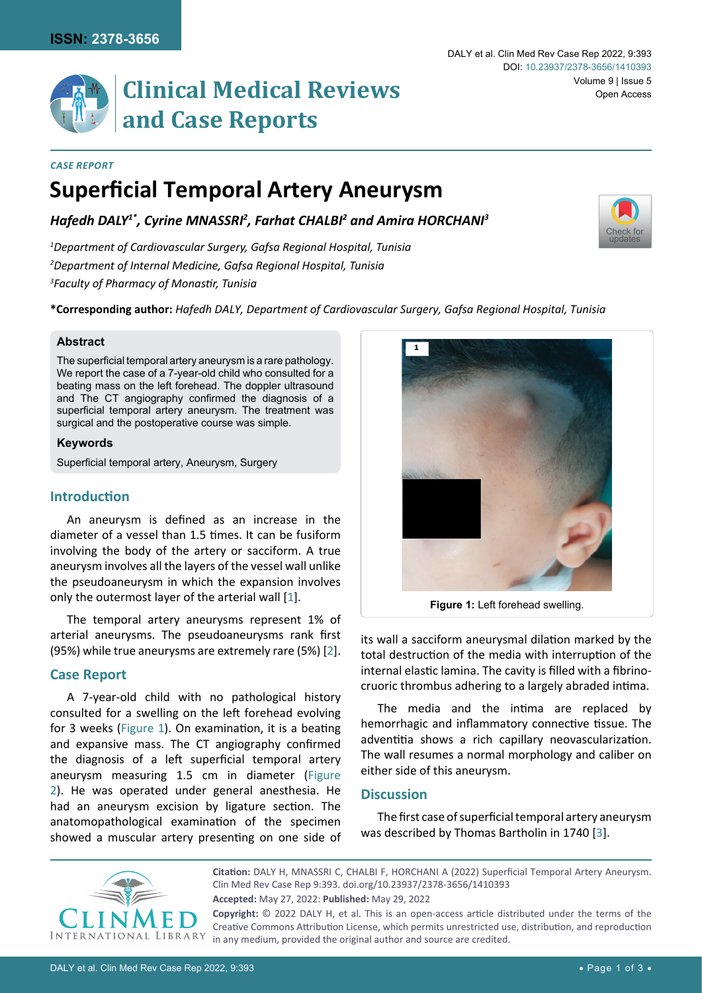[Check for](http://crossmark.crossref.org/dialog/?doi=10.23937/2378-3656/1410393&domain=pdf) updates

# **Clinical Medical Reviews and Case Reports**

#### *Case Report*

# **Superficial Temporal Artery Aneurysm**

*Hafedh DALY1\*, Cyrine MNASSRI2 , Farhat CHALBI2 and Amira HORCHANI3*

*1 Department of Cardiovascular Surgery, Gafsa Regional Hospital, Tunisia 2 Department of Internal Medicine, Gafsa Regional Hospital, Tunisia 3 Faculty of Pharmacy of Monastir, Tunisia*

**\*Corresponding author:** *Hafedh DALY, Department of Cardiovascular Surgery, Gafsa Regional Hospital, Tunisia*

#### **Abstract**

The superficial temporal artery aneurysm is a rare pathology. We report the case of a 7-year-old child who consulted for a beating mass on the left forehead. The doppler ultrasound and The CT angiography confirmed the diagnosis of a superficial temporal artery aneurysm. The treatment was surgical and the postoperative course was simple.

#### **Keywords**

Superficial temporal artery, Aneurysm, Surgery

# **Introduction**

An aneurysm is defined as an increase in the diameter of a vessel than 1.5 times. It can be fusiform involving the body of the artery or sacciform. A true aneurysm involves all the layers of the vessel wall unlike the pseudoaneurysm in which the expansion involves only the outermost layer of the arterial wall [[1](#page-2-1)].

The temporal artery aneurysms represent 1% of arterial aneurysms. The pseudoaneurysms rank first (95%) while true aneurysms are extremely rare (5%) [[2](#page-2-2)].

# **Case Report**

A 7-year-old child with no pathological history consulted for a swelling on the left forehead evolving for 3 weeks ([Figure 1](#page-0-0)). On examination, it is a beating and expansive mass. The CT angiography confirmed the diagnosis of a left superficial temporal artery aneurysm measuring 1.5 cm in diameter [\(Figure](#page-1-0) [2](#page-1-0)). He was operated under general anesthesia. He had an aneurysm excision by ligature section. The anatomopathological examination of the specimen showed a muscular artery presenting on one side of

<span id="page-0-0"></span>

**Figure 1:** Left forehead swelling.

its wall a sacciform aneurysmal dilation marked by the total destruction of the media with interruption of the internal elastic lamina. The cavity is filled with a fibrinocruoric thrombus adhering to a largely abraded intima.

The media and the intima are replaced by hemorrhagic and inflammatory connective tissue. The adventitia shows a rich capillary neovascularization. The wall resumes a normal morphology and caliber on either side of this aneurysm.

#### **Discussion**

The first case of superficial temporal artery aneurysm was described by Thomas Bartholin in 1740 [[3](#page-2-0)].



**Accepted:** May 27, 2022: **Published:** May 29, 2022 **Citation:** DALY H, MNASSRI C, CHALBI F, HORCHANI A (2022) Superficial Temporal Artery Aneurysm. Clin Med Rev Case Rep 9:393. [doi.org/10.23937/2378-3656/1410393](https://doi.org/10.23937/2378-3656/1410393) **Copyright:** © 2022 DALY H, et al. This is an open-access article distributed under the terms of the

Creative Commons Attribution License, which permits unrestricted use, distribution, and reproduction in any medium, provided the original author and source are credited.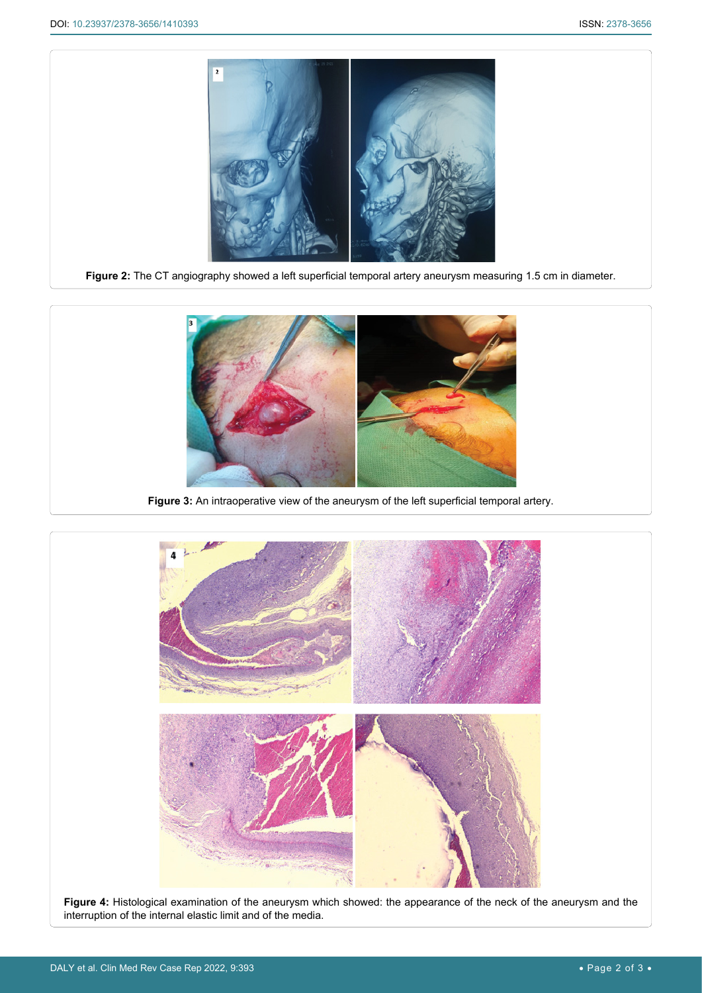<span id="page-1-0"></span>

**Figure 2:** The CT angiography showed a left superficial temporal artery aneurysm measuring 1.5 cm in diameter.



**Figure 3:** An intraoperative view of the aneurysm of the left superficial temporal artery.



**Figure 4:** Histological examination of the aneurysm which showed: the appearance of the neck of the aneurysm and the interruption of the internal elastic limit and of the media.